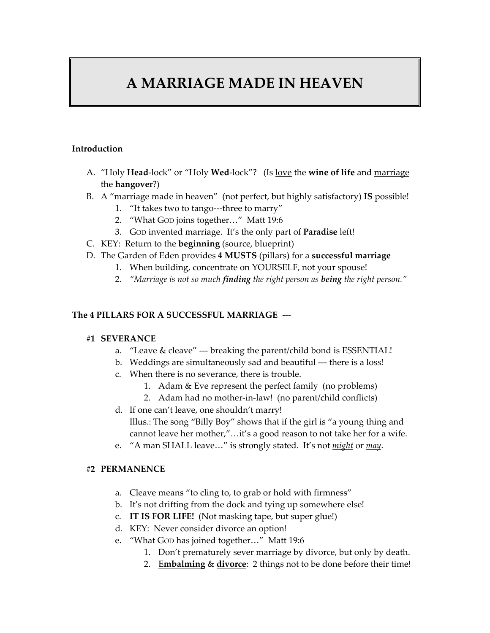# **A MARRIAGE MADE IN HEAVEN**

#### **Introduction**

- A. "Holy **Head**‐lock" or "Holy **Wed**‐lock"? (Is love the **wine of life** and marriage the **hangover**?)
- B. A "marriage made in heaven" (not perfect, but highly satisfactory) **IS** possible!
	- 1. "It takes two to tango---three to marry"
	- 2. "What GOD joins together…" Matt 19:6
	- 3. GOD invented marriage. It's the only part of **Paradise** left!
- C. KEY: Return to the **beginning** (source, blueprint)
- D. The Garden of Eden provides **4 MUSTS** (pillars) for a **successful marriage**
	- 1. When building, concentrate on YOURSELF, not your spouse!
	- 2. *"Marriage is not so much finding the right person as being the right person."*

### **The 4 PILLARS FOR A SUCCESSFUL MARRIAGE** ‐‐‐

#### **#1 SEVERANCE**

- a. "Leave & cleave" --- breaking the parent/child bond is ESSENTIAL!
- b. Weddings are simultaneously sad and beautiful ‐‐‐ there is a loss!
- c. When there is no severance, there is trouble.
	- 1. Adam & Eve represent the perfect family (no problems)
	- 2. Adam had no mother‐in‐law! (no parent/child conflicts)
- d. If one can't leave, one shouldn't marry! Illus.: The song "Billy Boy" shows that if the girl is "a young thing and cannot leave her mother,"…it's a good reason to not take her for a wife.
- e. "A man SHALL leave…" is strongly stated. It's not *might* or *may*.

#### **#2 PERMANENCE**

- a. Cleave means "to cling to, to grab or hold with firmness"
- b. It's not drifting from the dock and tying up somewhere else!
- c. **IT IS FOR LIFE!** (Not masking tape, but super glue!)
- d. KEY: Never consider divorce an option!
- e. "What GOD has joined together…" Matt 19:6
	- 1. Don't prematurely sever marriage by divorce, but only by death.
	- 2. E**mbalming** & **divorce**: 2 things not to be done before their time!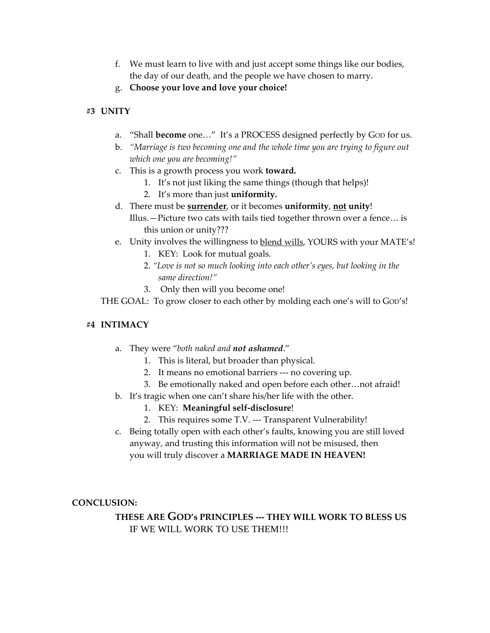- f. We must learn to live with and just accept some things like our bodies, the day of our death, and the people we have chosen to marry.
- g. **Choose your love and love your choice!**

#### **#3 UNITY**

- a. "Shall **become** one…" It's a PROCESS designed perfectly by GOD for us.
- b. *"Marriage is two becoming one and the whole time you are trying to figure out which one you are becoming!"*
- c. This is a growth process you work **toward.**
	- 1. It's not just liking the same things (though that helps)!
	- 2. It's more than just **uniformity.**
- d. There must be **surrender**, or it becomes **uniformity**, **not unity**! Illus.—Picture two cats with tails tied together thrown over a fence… is this union or unity???
- e. Unity involves the willingness to blend wills, YOURS with your MATE's!
	- 1. KEY: Look for mutual goals.
	- 2. *"Love is not so much looking into each other's eyes, but looking in the same direction!"*
	- 3. Only then will you become one!

THE GOAL: To grow closer to each other by molding each one's will to Gop's!

#### **#4 INTIMACY**

- a. They were "*both naked and not ashamed*."
	- 1. This is literal, but broader than physical.
	- 2. It means no emotional barriers ‐‐‐ no covering up.
	- 3. Be emotionally naked and open before each other…not afraid!
- b. It's tragic when one can't share his/her life with the other.
	- 1. KEY: **Meaningful self‐disclosure**!
	- 2. This requires some T.V. --- Transparent Vulnerability!
- c. Being totally open with each other's faults, knowing you are still loved anyway, and trusting this information will not be misused, then you will truly discover a **MARRIAGE MADE IN HEAVEN!**

**CONCLUSION:** 

## **THESE ARE GOD's PRINCIPLES ‐‐‐ THEY WILL WORK TO BLESS US** IF WE WILL WORK TO USE THEM!!!